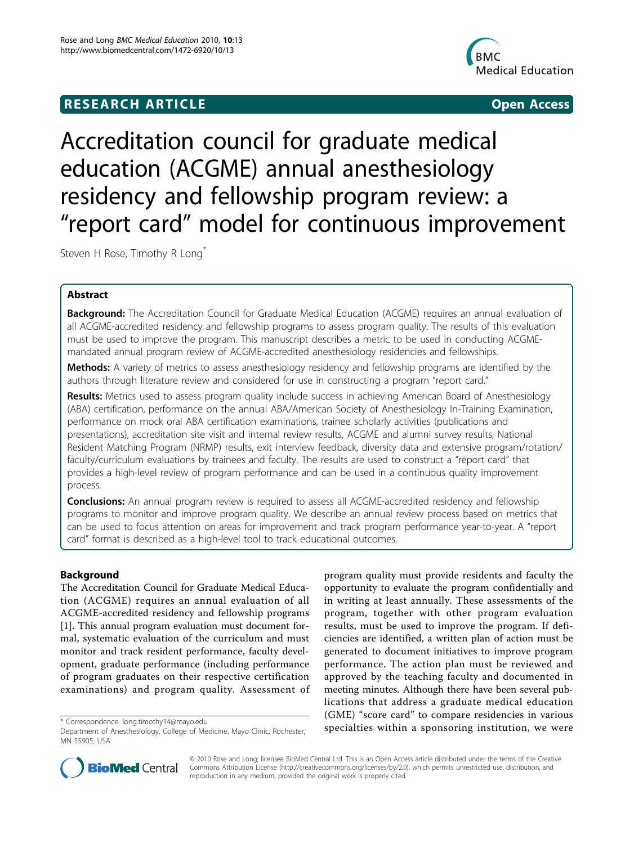## **RESEARCH ARTICLE Example 2018 12:00 Open Access**



# Accreditation council for graduate medical education (ACGME) annual anesthesiology residency and fellowship program review: a "report card" model for continuous improvement

Steven H Rose, Timothy R Long<sup>\*</sup>

## Abstract

**Background:** The Accreditation Council for Graduate Medical Education (ACGME) requires an annual evaluation of all ACGME-accredited residency and fellowship programs to assess program quality. The results of this evaluation must be used to improve the program. This manuscript describes a metric to be used in conducting ACGMEmandated annual program review of ACGME-accredited anesthesiology residencies and fellowships.

**Methods:** A variety of metrics to assess anesthesiology residency and fellowship programs are identified by the authors through literature review and considered for use in constructing a program "report card."

Results: Metrics used to assess program quality include success in achieving American Board of Anesthesiology (ABA) certification, performance on the annual ABA/American Society of Anesthesiology In-Training Examination, performance on mock oral ABA certification examinations, trainee scholarly activities (publications and presentations), accreditation site visit and internal review results, ACGME and alumni survey results, National Resident Matching Program (NRMP) results, exit interview feedback, diversity data and extensive program/rotation/ faculty/curriculum evaluations by trainees and faculty. The results are used to construct a "report card" that provides a high-level review of program performance and can be used in a continuous quality improvement process.

**Conclusions:** An annual program review is required to assess all ACGME-accredited residency and fellowship programs to monitor and improve program quality. We describe an annual review process based on metrics that can be used to focus attention on areas for improvement and track program performance year-to-year. A "report card" format is described as a high-level tool to track educational outcomes.

## Background

The Accreditation Council for Graduate Medical Education (ACGME) requires an annual evaluation of all ACGME-accredited residency and fellowship programs [[1\]](#page-5-0). This annual program evaluation must document formal, systematic evaluation of the curriculum and must monitor and track resident performance, faculty development, graduate performance (including performance of program graduates on their respective certification examinations) and program quality. Assessment of

program quality must provide residents and faculty the opportunity to evaluate the program confidentially and in writing at least annually. These assessments of the program, together with other program evaluation results, must be used to improve the program. If deficiencies are identified, a written plan of action must be generated to document initiatives to improve program performance. The action plan must be reviewed and approved by the teaching faculty and documented in meeting minutes. Although there have been several publications that address a graduate medical education (GME) "score card" to compare residencies in various \* Correspondence: [long.timothy14@mayo.edu](mailto:long.timothy14@mayo.edu)<br>Department of Anesthesialogy College of Medicine Mayo Clinic Rochester **\* specialties within a sponsoring institution, we were** 



© 2010 Rose and Long; licensee BioMed Central Ltd. This is an Open Access article distributed under the terms of the Creative Commons Attribution License [\(http://creativecommons.org/licenses/by/2.0](http://creativecommons.org/licenses/by/2.0)), which permits unrestricted use, distribution, and reproduction in any medium, provided the original work is properly cited.

Department of Anesthesiology, College of Medicine, Mayo Clinic, Rochester, MN 55905, USA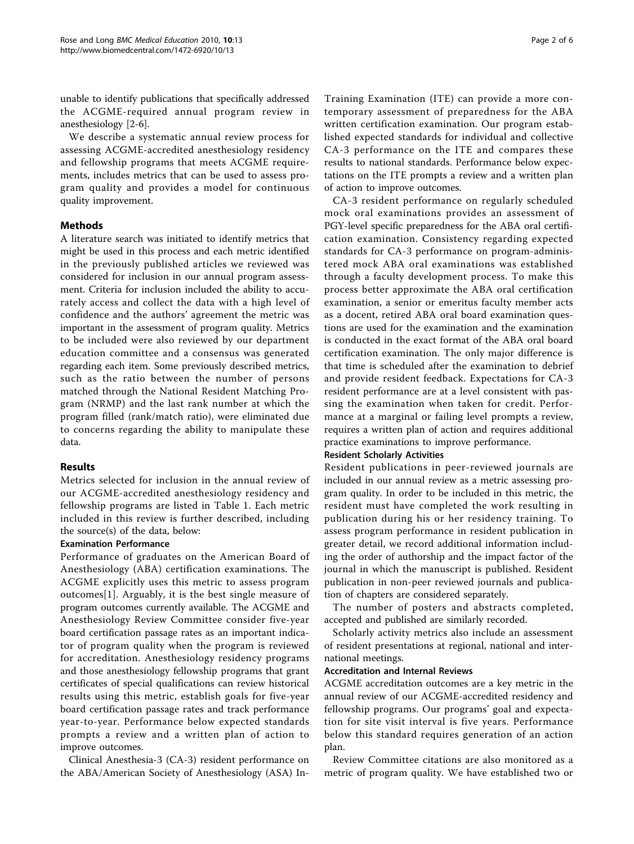unable to identify publications that specifically addressed the ACGME-required annual program review in anesthesiology [[2-6](#page-5-0)].

We describe a systematic annual review process for assessing ACGME-accredited anesthesiology residency and fellowship programs that meets ACGME requirements, includes metrics that can be used to assess program quality and provides a model for continuous quality improvement.

## Methods

A literature search was initiated to identify metrics that might be used in this process and each metric identified in the previously published articles we reviewed was considered for inclusion in our annual program assessment. Criteria for inclusion included the ability to accurately access and collect the data with a high level of confidence and the authors' agreement the metric was important in the assessment of program quality. Metrics to be included were also reviewed by our department education committee and a consensus was generated regarding each item. Some previously described metrics, such as the ratio between the number of persons matched through the National Resident Matching Program (NRMP) and the last rank number at which the program filled (rank/match ratio), were eliminated due to concerns regarding the ability to manipulate these data.

## Results

Metrics selected for inclusion in the annual review of our ACGME-accredited anesthesiology residency and fellowship programs are listed in Table [1.](#page-2-0) Each metric included in this review is further described, including the source(s) of the data, below:

## Examination Performance

Performance of graduates on the American Board of Anesthesiology (ABA) certification examinations. The ACGME explicitly uses this metric to assess program outcomes[[1\]](#page-5-0). Arguably, it is the best single measure of program outcomes currently available. The ACGME and Anesthesiology Review Committee consider five-year board certification passage rates as an important indicator of program quality when the program is reviewed for accreditation. Anesthesiology residency programs and those anesthesiology fellowship programs that grant certificates of special qualifications can review historical results using this metric, establish goals for five-year board certification passage rates and track performance year-to-year. Performance below expected standards prompts a review and a written plan of action to improve outcomes.

Clinical Anesthesia-3 (CA-3) resident performance on the ABA/American Society of Anesthesiology (ASA) In-

Training Examination (ITE) can provide a more contemporary assessment of preparedness for the ABA written certification examination. Our program established expected standards for individual and collective CA-3 performance on the ITE and compares these results to national standards. Performance below expectations on the ITE prompts a review and a written plan of action to improve outcomes.

CA-3 resident performance on regularly scheduled mock oral examinations provides an assessment of PGY-level specific preparedness for the ABA oral certification examination. Consistency regarding expected standards for CA-3 performance on program-administered mock ABA oral examinations was established through a faculty development process. To make this process better approximate the ABA oral certification examination, a senior or emeritus faculty member acts as a docent, retired ABA oral board examination questions are used for the examination and the examination is conducted in the exact format of the ABA oral board certification examination. The only major difference is that time is scheduled after the examination to debrief and provide resident feedback. Expectations for CA-3 resident performance are at a level consistent with passing the examination when taken for credit. Performance at a marginal or failing level prompts a review, requires a written plan of action and requires additional practice examinations to improve performance.

## Resident Scholarly Activities

Resident publications in peer-reviewed journals are included in our annual review as a metric assessing program quality. In order to be included in this metric, the resident must have completed the work resulting in publication during his or her residency training. To assess program performance in resident publication in greater detail, we record additional information including the order of authorship and the impact factor of the journal in which the manuscript is published. Resident publication in non-peer reviewed journals and publication of chapters are considered separately.

The number of posters and abstracts completed, accepted and published are similarly recorded.

Scholarly activity metrics also include an assessment of resident presentations at regional, national and international meetings.

#### Accreditation and Internal Reviews

ACGME accreditation outcomes are a key metric in the annual review of our ACGME-accredited residency and fellowship programs. Our programs' goal and expectation for site visit interval is five years. Performance below this standard requires generation of an action plan.

Review Committee citations are also monitored as a metric of program quality. We have established two or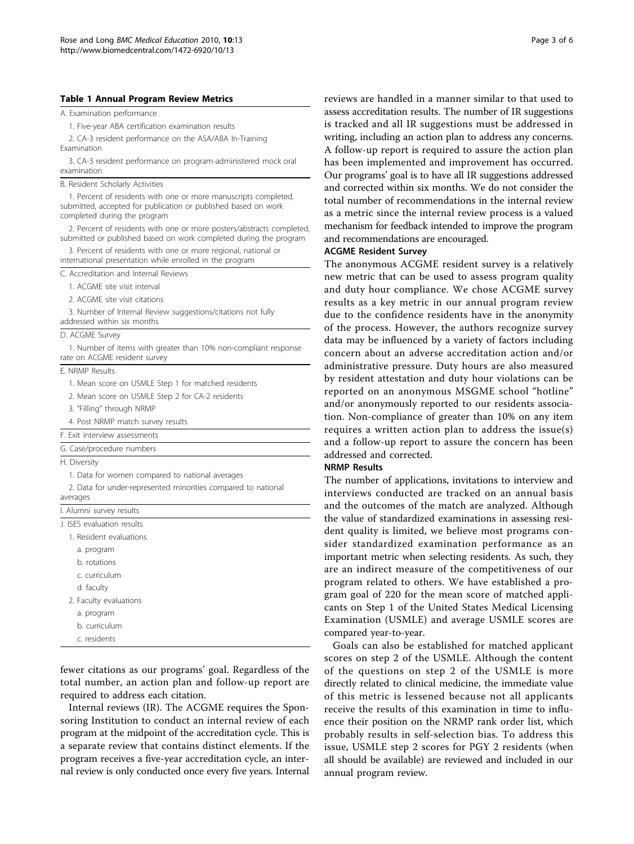#### <span id="page-2-0"></span>Table 1 Annual Program Review Metrics

A. Examination performance

1. Five-year ABA certification examination results

2. CA-3 resident performance on the ASA/ABA In-Training Examination

3. CA-3 resident performance on program-administered mock oral examination

B. Resident Scholarly Activities

1. Percent of residents with one or more manuscripts completed, submitted, accepted for publication or published based on work completed during the program

2. Percent of residents with one or more posters/abstracts completed, submitted or published based on work completed during the program

3. Percent of residents with one or more regional, national or international presentation while enrolled in the program

C. Accreditation and Internal Reviews

1. ACGME site visit interval

2. ACGME site visit citations

3. Number of Internal Review suggestions/citations not fully addressed within six months

#### D. ACGME Survey

1. Number of items with greater than 10% non-compliant response rate on ACGME resident survey

#### E. NRMP Results

1. Mean score on USMLE Step 1 for matched residents

- 2. Mean score on USMLE Step 2 for CA-2 residents
- 3. "Filling" through NRMP

4. Post NRMP match survey results

F. Exit interview assessments G. Case/procedure numbers H. Diversity 1. Data for women compared to national averages 2. Data for under-represented minorities compared to national averages I. Alumni survey results J. ISES evaluation results 1. Resident evaluations a. program b. rotations c. curriculum d. faculty 2. Faculty evaluations a. program b. curriculum

c. residents

fewer citations as our programs' goal. Regardless of the total number, an action plan and follow-up report are required to address each citation.

Internal reviews (IR). The ACGME requires the Sponsoring Institution to conduct an internal review of each program at the midpoint of the accreditation cycle. This is a separate review that contains distinct elements. If the program receives a five-year accreditation cycle, an internal review is only conducted once every five years. Internal reviews are handled in a manner similar to that used to assess accreditation results. The number of IR suggestions is tracked and all IR suggestions must be addressed in writing, including an action plan to address any concerns. A follow-up report is required to assure the action plan has been implemented and improvement has occurred. Our programs' goal is to have all IR suggestions addressed and corrected within six months. We do not consider the total number of recommendations in the internal review as a metric since the internal review process is a valued mechanism for feedback intended to improve the program and recommendations are encouraged.

#### ACGME Resident Survey

The anonymous ACGME resident survey is a relatively new metric that can be used to assess program quality and duty hour compliance. We chose ACGME survey results as a key metric in our annual program review due to the confidence residents have in the anonymity of the process. However, the authors recognize survey data may be influenced by a variety of factors including concern about an adverse accreditation action and/or administrative pressure. Duty hours are also measured by resident attestation and duty hour violations can be reported on an anonymous MSGME school "hotline" and/or anonymously reported to our residents association. Non-compliance of greater than 10% on any item requires a written action plan to address the issue(s) and a follow-up report to assure the concern has been addressed and corrected.

#### NRMP Results

The number of applications, invitations to interview and interviews conducted are tracked on an annual basis and the outcomes of the match are analyzed. Although the value of standardized examinations in assessing resident quality is limited, we believe most programs consider standardized examination performance as an important metric when selecting residents. As such, they are an indirect measure of the competitiveness of our program related to others. We have established a program goal of 220 for the mean score of matched applicants on Step 1 of the United States Medical Licensing Examination (USMLE) and average USMLE scores are compared year-to-year.

Goals can also be established for matched applicant scores on step 2 of the USMLE. Although the content of the questions on step 2 of the USMLE is more directly related to clinical medicine, the immediate value of this metric is lessened because not all applicants receive the results of this examination in time to influence their position on the NRMP rank order list, which probably results in self-selection bias. To address this issue, USMLE step 2 scores for PGY 2 residents (when all should be available) are reviewed and included in our annual program review.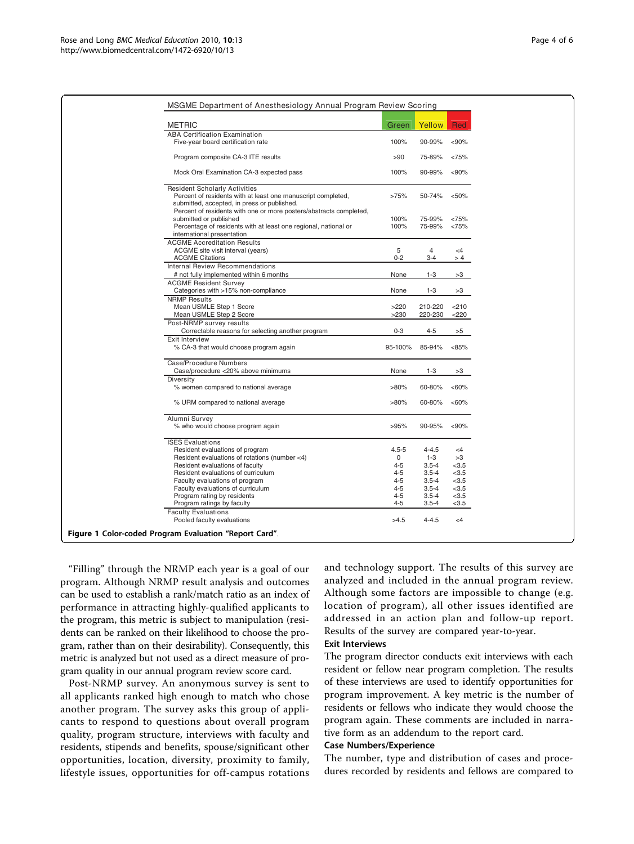<span id="page-3-0"></span>

| <b>METRIC</b>                                                                                                                                                                                 | Green        | Yellow             | Red              |
|-----------------------------------------------------------------------------------------------------------------------------------------------------------------------------------------------|--------------|--------------------|------------------|
| <b>ABA Certification Examination</b>                                                                                                                                                          |              |                    |                  |
| Five-year board certification rate                                                                                                                                                            | 100%         | 90-99%             | < 90%            |
| Program composite CA-3 ITE results                                                                                                                                                            | >90          | 75-89%             | <75%             |
| Mock Oral Examination CA-3 expected pass                                                                                                                                                      | 100%         | 90-99%             | < 90%            |
| <b>Resident Scholarly Activities</b><br>Percent of residents with at least one manuscript completed,<br>submitted, accepted, in press or published.                                           | >75%         | 50-74%             | < 50%            |
| Percent of residents with one or more posters/abstracts completed,<br>submitted or published<br>Percentage of residents with at least one regional, national or<br>international presentation | 100%<br>100% | 75-99%<br>75-99%   | <75%<br><75%     |
| <b>ACGME Accreditation Results</b>                                                                                                                                                            |              |                    |                  |
| ACGME site visit interval (years)<br><b>ACGME Citations</b>                                                                                                                                   | 5<br>$0 - 2$ | 4<br>$3-4$         | $<$ 4<br>> 4     |
| Internal Review Recommendations                                                                                                                                                               |              |                    |                  |
| # not fully implemented within 6 months                                                                                                                                                       | None         | $1 - 3$            | >3               |
| <b>ACGME Resident Survey</b><br>Categories with >15% non-compliance                                                                                                                           | None         | $1 - 3$            | >3               |
| <b>NRMP Results</b>                                                                                                                                                                           |              |                    |                  |
| Mean USMLE Step 1 Score<br>Mean USMLE Step 2 Score                                                                                                                                            | >220<br>>230 | 210-220<br>220-230 | < 210<br>$<$ 220 |
| Post-NRMP survey results                                                                                                                                                                      | $0 - 3$      | $4 - 5$            |                  |
| Correctable reasons for selecting another program<br>Exit Interview                                                                                                                           |              |                    | >5               |
| % CA-3 that would choose program again                                                                                                                                                        | 95-100%      | 85-94%             | <85%             |
| Case/Procedure Numbers                                                                                                                                                                        |              |                    |                  |
| Case/procedure <20% above minimums                                                                                                                                                            | None         | $1 - 3$            | >3               |
| Diversity<br>% women compared to national average                                                                                                                                             | $>80\%$      | 60-80%             | < 60%            |
| % URM compared to national average                                                                                                                                                            | $>80\%$      | 60-80%             | <60%             |
|                                                                                                                                                                                               |              |                    |                  |
| Alumni Survey<br>% who would choose program again                                                                                                                                             | >95%         | 90-95%             | < 90%            |
| <b>ISES Evaluations</b>                                                                                                                                                                       |              |                    |                  |
| Resident evaluations of program                                                                                                                                                               | $4.5 - 5$    | $4 - 4.5$          | $<$ 4            |
| Resident evaluations of rotations (number <4)                                                                                                                                                 | 0            | $1-3$              | >3               |
| Resident evaluations of faculty                                                                                                                                                               | $4 - 5$      | $3.5 - 4$          | < 3.5            |
| Resident evaluations of curriculum                                                                                                                                                            | $4 - 5$      | $3.5 - 4$          | < 3.5            |
| Faculty evaluations of program                                                                                                                                                                | $4 - 5$      | $3.5 - 4$          | < 3.5            |
| Faculty evaluations of curriculum                                                                                                                                                             | $4 - 5$      | $3.5 - 4$          | < 3.5            |
| Program rating by residents                                                                                                                                                                   | $4 - 5$      | $3.5 - 4$          | < 3.5            |
| Program ratings by faculty                                                                                                                                                                    | $4 - 5$      | $3.5 - 4$          | $<$ 3.5          |
| <b>Faculty Evaluations</b><br>Pooled faculty evaluations                                                                                                                                      | >4.5         | $4 - 4.5$          | $<$ 4            |

"Filling" through the NRMP each year is a goal of our program. Although NRMP result analysis and outcomes can be used to establish a rank/match ratio as an index of performance in attracting highly-qualified applicants to the program, this metric is subject to manipulation (residents can be ranked on their likelihood to choose the program, rather than on their desirability). Consequently, this metric is analyzed but not used as a direct measure of program quality in our annual program review score card.

Post-NRMP survey. An anonymous survey is sent to all applicants ranked high enough to match who chose another program. The survey asks this group of applicants to respond to questions about overall program quality, program structure, interviews with faculty and residents, stipends and benefits, spouse/significant other opportunities, location, diversity, proximity to family, lifestyle issues, opportunities for off-campus rotations and technology support. The results of this survey are analyzed and included in the annual program review. Although some factors are impossible to change (e.g. location of program), all other issues identified are addressed in an action plan and follow-up report. Results of the survey are compared year-to-year.

## Exit Interviews

The program director conducts exit interviews with each resident or fellow near program completion. The results of these interviews are used to identify opportunities for program improvement. A key metric is the number of residents or fellows who indicate they would choose the program again. These comments are included in narrative form as an addendum to the report card.

#### Case Numbers/Experience

The number, type and distribution of cases and procedures recorded by residents and fellows are compared to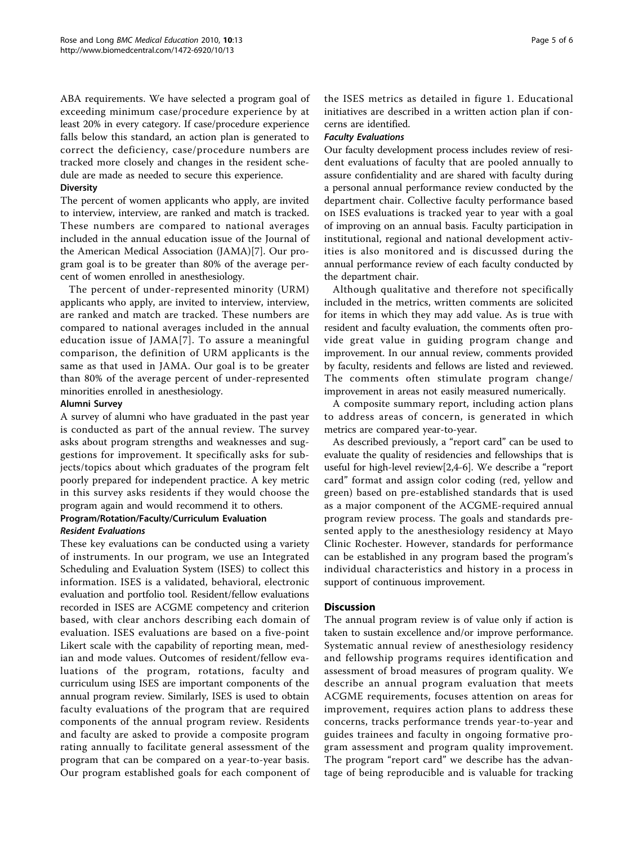ABA requirements. We have selected a program goal of exceeding minimum case/procedure experience by at least 20% in every category. If case/procedure experience falls below this standard, an action plan is generated to correct the deficiency, case/procedure numbers are tracked more closely and changes in the resident schedule are made as needed to secure this experience.

## **Diversity**

The percent of women applicants who apply, are invited to interview, interview, are ranked and match is tracked. These numbers are compared to national averages included in the annual education issue of the Journal of the American Medical Association (JAMA)[\[7](#page-5-0)]. Our program goal is to be greater than 80% of the average percent of women enrolled in anesthesiology.

The percent of under-represented minority (URM) applicants who apply, are invited to interview, interview, are ranked and match are tracked. These numbers are compared to national averages included in the annual education issue of JAMA[[7\]](#page-5-0). To assure a meaningful comparison, the definition of URM applicants is the same as that used in JAMA. Our goal is to be greater than 80% of the average percent of under-represented minorities enrolled in anesthesiology.

## Alumni Survey

A survey of alumni who have graduated in the past year is conducted as part of the annual review. The survey asks about program strengths and weaknesses and suggestions for improvement. It specifically asks for subjects/topics about which graduates of the program felt poorly prepared for independent practice. A key metric in this survey asks residents if they would choose the program again and would recommend it to others.

## Program/Rotation/Faculty/Curriculum Evaluation Resident Evaluations

These key evaluations can be conducted using a variety of instruments. In our program, we use an Integrated Scheduling and Evaluation System (ISES) to collect this information. ISES is a validated, behavioral, electronic evaluation and portfolio tool. Resident/fellow evaluations recorded in ISES are ACGME competency and criterion based, with clear anchors describing each domain of evaluation. ISES evaluations are based on a five-point Likert scale with the capability of reporting mean, median and mode values. Outcomes of resident/fellow evaluations of the program, rotations, faculty and curriculum using ISES are important components of the annual program review. Similarly, ISES is used to obtain faculty evaluations of the program that are required components of the annual program review. Residents and faculty are asked to provide a composite program rating annually to facilitate general assessment of the program that can be compared on a year-to-year basis. Our program established goals for each component of the ISES metrics as detailed in figure [1.](#page-3-0) Educational initiatives are described in a written action plan if concerns are identified.

## Faculty Evaluations

Our faculty development process includes review of resident evaluations of faculty that are pooled annually to assure confidentiality and are shared with faculty during a personal annual performance review conducted by the department chair. Collective faculty performance based on ISES evaluations is tracked year to year with a goal of improving on an annual basis. Faculty participation in institutional, regional and national development activities is also monitored and is discussed during the annual performance review of each faculty conducted by the department chair.

Although qualitative and therefore not specifically included in the metrics, written comments are solicited for items in which they may add value. As is true with resident and faculty evaluation, the comments often provide great value in guiding program change and improvement. In our annual review, comments provided by faculty, residents and fellows are listed and reviewed. The comments often stimulate program change/ improvement in areas not easily measured numerically.

A composite summary report, including action plans to address areas of concern, is generated in which metrics are compared year-to-year.

As described previously, a "report card" can be used to evaluate the quality of residencies and fellowships that is useful for high-level review[\[2,4](#page-5-0)-[6\]](#page-5-0). We describe a "report card" format and assign color coding (red, yellow and green) based on pre-established standards that is used as a major component of the ACGME-required annual program review process. The goals and standards presented apply to the anesthesiology residency at Mayo Clinic Rochester. However, standards for performance can be established in any program based the program's individual characteristics and history in a process in support of continuous improvement.

## **Discussion**

The annual program review is of value only if action is taken to sustain excellence and/or improve performance. Systematic annual review of anesthesiology residency and fellowship programs requires identification and assessment of broad measures of program quality. We describe an annual program evaluation that meets ACGME requirements, focuses attention on areas for improvement, requires action plans to address these concerns, tracks performance trends year-to-year and guides trainees and faculty in ongoing formative program assessment and program quality improvement. The program "report card" we describe has the advantage of being reproducible and is valuable for tracking